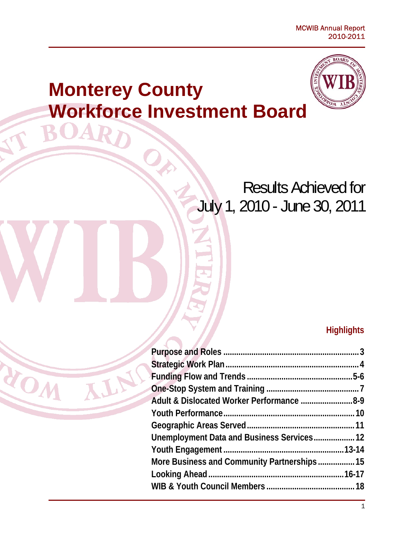# **Monterey County Workforce Investment Board**

ROA

NOW

ALN



# Results Achieved for July 1, 2010 - June 30, 2011

### **Highlights**

| Adult & Dislocated Worker Performance 8-9   |  |
|---------------------------------------------|--|
|                                             |  |
|                                             |  |
| Unemployment Data and Business Services 12  |  |
|                                             |  |
| More Business and Community Partnerships 15 |  |
|                                             |  |
|                                             |  |
|                                             |  |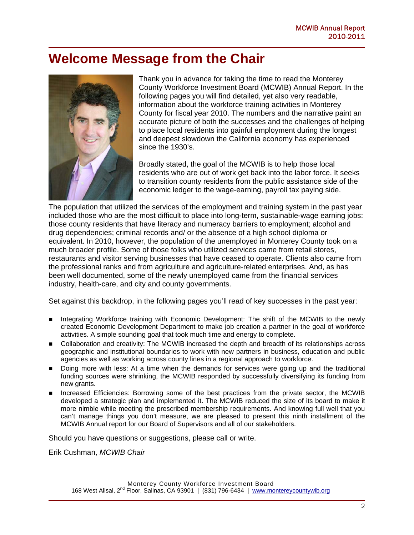### **Welcome Message from the Chair**



Thank you in advance for taking the time to read the Monterey County Workforce Investment Board (MCWIB) Annual Report. In the following pages you will find detailed, yet also very readable, information about the workforce training activities in Monterey County for fiscal year 2010. The numbers and the narrative paint an accurate picture of both the successes and the challenges of helping to place local residents into gainful employment during the longest and deepest slowdown the California economy has experienced since the 1930's.

Broadly stated, the goal of the MCWIB is to help those local residents who are out of work get back into the labor force. It seeks to transition county residents from the public assistance side of the economic ledger to the wage-earning, payroll tax paying side.

The population that utilized the services of the employment and training system in the past year included those who are the most difficult to place into long-term, sustainable-wage earning jobs: those county residents that have literacy and numeracy barriers to employment; alcohol and drug dependencies; criminal records and/ or the absence of a high school diploma or equivalent. In 2010, however, the population of the unemployed in Monterey County took on a much broader profile. Some of those folks who utilized services came from retail stores, restaurants and visitor serving businesses that have ceased to operate. Clients also came from the professional ranks and from agriculture and agriculture-related enterprises. And, as has been well documented, some of the newly unemployed came from the financial services industry, health-care, and city and county governments.

Set against this backdrop, in the following pages you'll read of key successes in the past year:

- Integrating Workforce training with Economic Development: The shift of the MCWIB to the newly created Economic Development Department to make job creation a partner in the goal of workforce activities. A simple sounding goal that took much time and energy to complete.
- Collaboration and creativity: The MCWIB increased the depth and breadth of its relationships across geographic and institutional boundaries to work with new partners in business, education and public agencies as well as working across county lines in a regional approach to workforce.
- Doing more with less: At a time when the demands for services were going up and the traditional funding sources were shrinking, the MCWIB responded by successfully diversifying its funding from new grants.
- Increased Efficiencies: Borrowing some of the best practices from the private sector, the MCWIB developed a strategic plan and implemented it. The MCWIB reduced the size of its board to make it more nimble while meeting the prescribed membership requirements. And knowing full well that you can't manage things you don't measure, we are pleased to present this ninth installment of the MCWIB Annual report for our Board of Supervisors and all of our stakeholders.

Should you have questions or suggestions, please call or write.

Erik Cushman, *MCWIB Chair*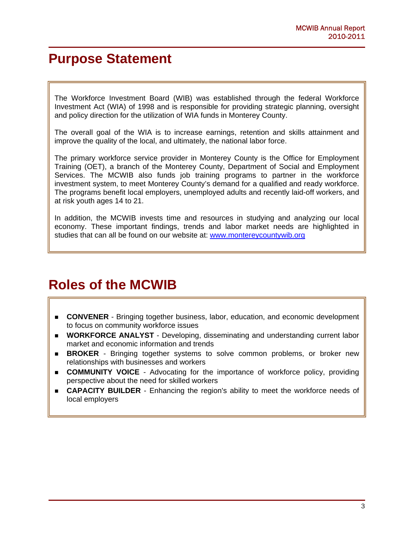### **Purpose Statement**

 $\overline{\phantom{a}}$  $\overline{\phantom{a}}$  $\overline{\phantom{a}}$  $\overline{\phantom{a}}$  $\overline{\phantom{a}}$ 

 $\overline{\phantom{a}}$ I

The Workforce Investment Board (WIB) was established through the federal Workforce Investment Act (WIA) of 1998 and is responsible for providing strategic planning, oversight and policy direction for the utilization of WIA funds in Monterey County.

The overall goal of the WIA is to increase earnings, retention and skills attainment and improve the quality of the local, and ultimately, the national labor force.

The primary workforce service provider in Monterey County is the Office for Employment Training (OET), a branch of the Monterey County, Department of Social and Employment Services. The MCWIB also funds job training programs to partner in the workforce investment system, to meet Monterey County's demand for a qualified and ready workforce. The programs benefit local employers, unemployed adults and recently laid-off workers, and at risk youth ages 14 to 21.

In addition, the MCWIB invests time and resources in studying and analyzing our local economy. These important findings, trends and labor market needs are highlighted in studies that can all be found on our website at: www.montereycountywib.org

### **Roles of the MCWIB**

- **CONVENER** Bringing together business, labor, education, and economic development to focus on community workforce issues
- **WORKFORCE ANALYST** Developing, disseminating and understanding current labor market and economic information and trends
- **BROKER** Bringing together systems to solve common problems, or broker new relationships with businesses and workers
- **COMMUNITY VOICE** Advocating for the importance of workforce policy, providing perspective about the need for skilled workers
- **CAPACITY BUILDER** Enhancing the region's ability to meet the workforce needs of local employers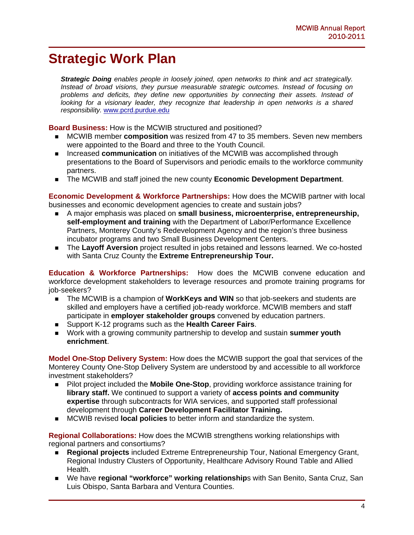### **Strategic Work Plan**

*Strategic Doing enables people in loosely joined, open networks to think and act strategically. Instead of broad visions, they pursue measurable strategic outcomes. Instead of focusing on problems and deficits, they define new opportunities by connecting their assets. Instead of looking for a visionary leader, they recognize that leadership in open networks is a shared responsibility.* www.pcrd.purdue.edu

**Board Business:** How is the MCWIB structured and positioned?

- MCWIB member **composition** was resized from 47 to 35 members. Seven new members were appointed to the Board and three to the Youth Council.
- **Increased communication** on initiatives of the MCWIB was accomplished through presentations to the Board of Supervisors and periodic emails to the workforce community partners.
- The MCWIB and staff joined the new county **Economic Development Department**.

**Economic Development & Workforce Partnerships:** How does the MCWIB partner with local businesses and economic development agencies to create and sustain jobs?

- A major emphasis was placed on **small business, microenterprise, entrepreneurship, self-employment and training** with the Department of Labor/Performance Excellence Partners, Monterey County's Redevelopment Agency and the region's three business incubator programs and two Small Business Development Centers.
- The **Layoff Aversion** project resulted in jobs retained and lessons learned. We co-hosted with Santa Cruz County the **Extreme Entrepreneurship Tour.**

**Education & Workforce Partnerships:** How does the MCWIB convene education and workforce development stakeholders to leverage resources and promote training programs for job-seekers?

- The MCWIB is a champion of **WorkKeys and WIN** so that job-seekers and students are skilled and employers have a certified job-ready workforce. MCWIB members and staff participate in **employer stakeholder groups** convened by education partners.
- Support K-12 programs such as the **Health Career Fairs**.
- Work with a growing community partnership to develop and sustain **summer youth enrichment**.

**Model One-Stop Delivery System:** How does the MCWIB support the goal that services of the Monterey County One-Stop Delivery System are understood by and accessible to all workforce investment stakeholders?

- Pilot project included the **Mobile One-Stop**, providing workforce assistance training for **library staff.** We continued to support a variety of **access points and community expertise** through subcontracts for WIA services, and supported staff professional development through **Career Development Facilitator Training.**
- MCWIB revised **local policies** to better inform and standardize the system.

**Regional Collaborations:** How does the MCWIB strengthens working relationships with regional partners and consortiums?

- **Regional projects** included Extreme Entrepreneurship Tour, National Emergency Grant, Regional Industry Clusters of Opportunity, Healthcare Advisory Round Table and Allied Health.
- We have **regional "workforce" working relationship**s with San Benito, Santa Cruz, San Luis Obispo, Santa Barbara and Ventura Counties.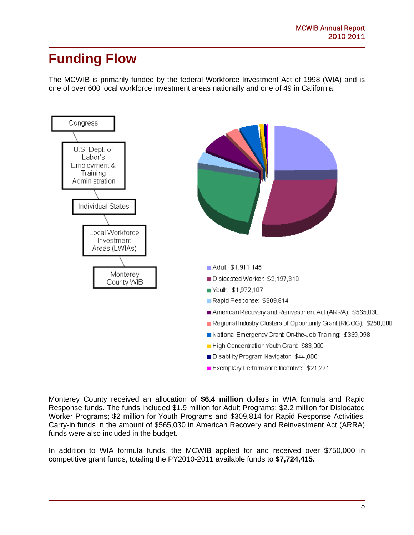### **Funding Flow**

The MCWIB is primarily funded by the federal Workforce Investment Act of 1998 (WIA) and is one of over 600 local workforce investment areas nationally and one of 49 in California.



Monterey County received an allocation of **\$6.4 million** dollars in WIA formula and Rapid Response funds. The funds included \$1.9 million for Adult Programs; \$2.2 million for Dislocated Worker Programs; \$2 million for Youth Programs and \$309,814 for Rapid Response Activities. Carry-in funds in the amount of \$565,030 in American Recovery and Reinvestment Act (ARRA) funds were also included in the budget.

In addition to WIA formula funds, the MCWIB applied for and received over \$750,000 in competitive grant funds, totaling the PY2010-2011 available funds to **\$7,724,415.**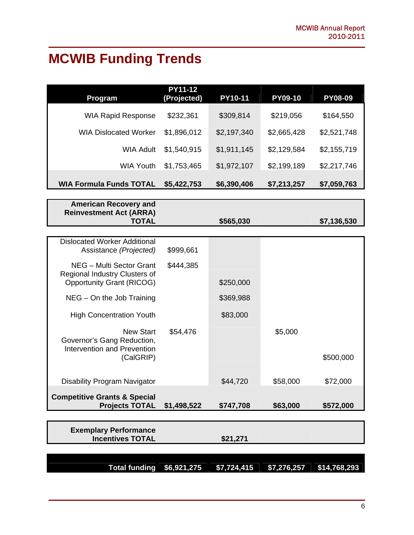# **MCWIB Funding Trends**

| Program                                                                                       | <b>PY11-12</b><br>(Projected) | PY10-11     | <b>PY09-10</b> | <b>PY08-09</b> |
|-----------------------------------------------------------------------------------------------|-------------------------------|-------------|----------------|----------------|
| <b>WIA Rapid Response</b>                                                                     | \$232,361                     | \$309,814   | \$219,056      | \$164,550      |
| <b>WIA Dislocated Worker</b>                                                                  | \$1,896,012                   | \$2,197,340 | \$2,665,428    | \$2,521,748    |
| <b>WIA Adult</b>                                                                              | \$1,540,915                   | \$1,911,145 | \$2,129,584    | \$2,155,719    |
| <b>WIA Youth</b>                                                                              | \$1,753,465                   | \$1,972,107 | \$2,199,189    | \$2,217,746    |
| <b>WIA Formula Funds TOTAL</b>                                                                | \$5,422,753                   | \$6,390,406 | \$7,213,257    | \$7,059,763    |
| <b>American Recovery and</b><br><b>Reinvestment Act (ARRA)</b><br><b>TOTAL</b>                |                               | \$565,030   |                | \$7,136,530    |
| <b>Dislocated Worker Additional</b><br>Assistance (Projected)                                 | \$999,661                     |             |                |                |
| NEG - Multi Sector Grant<br>Regional Industry Clusters of<br><b>Opportunity Grant (RICOG)</b> | \$444,385                     | \$250,000   |                |                |
| $NEG - On$ the Job Training                                                                   |                               | \$369,988   |                |                |
| <b>High Concentration Youth</b>                                                               |                               | \$83,000    |                |                |
| <b>New Start</b><br>Governor's Gang Reduction,<br>Intervention and Prevention<br>(CalGRIP)    | \$54,476                      |             | \$5,000        | \$500,000      |
| <b>Disability Program Navigator</b>                                                           |                               | \$44,720    | \$58,000       | \$72,000       |
| <b>Competitive Grants &amp; Special</b><br><b>Projects TOTAL</b>                              | \$1,498,522                   | \$747,708   | \$63,000       | \$572,000      |
| <b>Exemplary Performance</b><br><b>Incentives TOTAL</b>                                       |                               | \$21,271    |                |                |
| <b>Total funding</b>                                                                          | \$6,921,275                   | \$7,724,415 | \$7,276,257    | \$14,768,293   |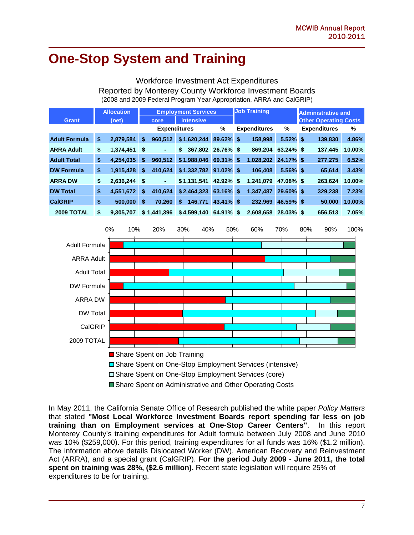### **One-Stop System and Training**

#### Workforce Investment Act Expenditures Reported by Monterey County Workforce Investment Boards (2008 and 2009 Federal Program Year Appropriation, ARRA and CalGRIP)

|                      |    | <b>Allocation</b> | <b>Employment Services</b> |                     |                        | <b>Job Training</b> |                     | <b>Administrative and</b> |                              |        |
|----------------------|----|-------------------|----------------------------|---------------------|------------------------|---------------------|---------------------|---------------------------|------------------------------|--------|
| <b>Grant</b>         |    | (net)             |                            | core                | <b>intensive</b>       |                     |                     |                           | <b>Other Operating Costs</b> |        |
|                      |    |                   |                            | <b>Expenditures</b> |                        | %                   | <b>Expenditures</b> | %                         | <b>Expenditures</b>          | %      |
| <b>Adult Formula</b> | \$ | 2,879,584         | \$                         | 960.512             | \$1,620,244            | 89.62% \$           | 158.998             | $5.52\%$ \$               | 139.830                      | 4.86%  |
| <b>ARRA Adult</b>    | \$ | 1.374.451         | S.                         | ٠                   | 367.802<br>\$          | 26.76% \$           | 869.204             | 63.24% \$                 | 137.445                      | 10.00% |
| <b>Adult Total</b>   | \$ | 4.254.035         | \$                         | 960.512             | \$1.988.046            | 69.31% \$           | 1.028.202           | 24.17% \$                 | 277.275                      | 6.52%  |
| <b>DW Formula</b>    | \$ | 1,915,428         | \$                         | 410.624             | $$1,332,782$ 91.02% \$ |                     | 106.408             | $5.56\%$ \$               | 65.614                       | 3.43%  |
| <b>ARRA DW</b>       | \$ | 2.636.244         | S.                         | ۰                   | \$1.131.541            | 42.92% \$           | 1.241.079           | 47.08% \$                 | 263.624                      | 10.00% |
| <b>DW Total</b>      | \$ | 4.551.672         | \$                         | 410.624             | \$2,464,323            | 63.16% \$           | 1.347.487           | 29.60% \$                 | 329,238                      | 7.23%  |
| <b>CalGRIP</b>       | \$ | 500,000           | \$                         | 70.260              | 146,771<br>\$          | 43.41% \$           | 232.969             | 46.59% \$                 | 50,000                       | 10.00% |
| 2009 TOTAL           | \$ | 9.305.707         |                            | \$1.441.396         | \$4.599.140            | 64.91% \$           | 2.608.658           | $28.03\%$ \$              | 656.513                      | 7.05%  |



□ Share Spent on One-Stop Employment Services (core)

Share Spent on Administrative and Other Operating Costs

In May 2011, the California Senate Office of Research published the white paper *Policy Matters* that stated **"Most Local Workforce Investment Boards report spending far less on job training than on Employment services at One-Stop Career Centers"**. In this report Monterey County's training expenditures for Adult formula between July 2008 and June 2010 was 10% (\$259,000). For this period, training expenditures for all funds was 16% (\$1.2 million). The information above details Dislocated Worker (DW), American Recovery and Reinvestment Act (ARRA), and a special grant (CalGRIP). **For the period July 2009 - June 2011, the total spent on training was 28%, (\$2.6 million).** Recent state legislation will require 25% of expenditures to be for training.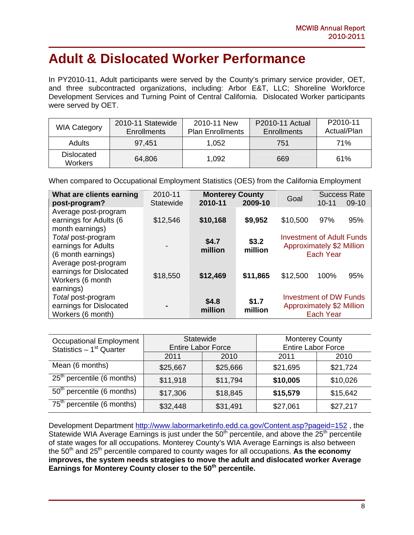### **Adult & Dislocated Worker Performance**

In PY2010-11, Adult participants were served by the County's primary service provider, OET, and three subcontracted organizations, including: Arbor E&T, LLC; Shoreline Workforce Development Services and Turning Point of Central California. Dislocated Worker participants were served by OET.

| <b>WIA Category</b>          | 2010-11 Statewide<br><b>Enrollments</b> | 2010-11 New<br><b>Plan Enrollments</b> | <b>P2010-11 Actual</b><br><b>Enrollments</b> | P <sub>2010</sub> -11<br>Actual/Plan |
|------------------------------|-----------------------------------------|----------------------------------------|----------------------------------------------|--------------------------------------|
| <b>Adults</b>                | 97,451                                  | 1,052                                  | 751                                          | 71%                                  |
| Dislocated<br><b>Workers</b> | 64,806                                  | 1,092                                  | 669                                          | 61%                                  |

When compared to Occupational Employment Statistics (OES) from the California Employment

| What are clients earning<br>post-program?                                        | 2010-11<br><b>Statewide</b> | <b>Monterey County</b><br>2010-11 | 2009-10          | Goal                                                                 | $10 - 11$        | <b>Success Rate</b><br>$09-10$ |
|----------------------------------------------------------------------------------|-----------------------------|-----------------------------------|------------------|----------------------------------------------------------------------|------------------|--------------------------------|
| Average post-program<br>earnings for Adults (6<br>month earnings)                | \$12,546                    | \$10,168                          | \$9,952          | \$10,500                                                             | 97%              | 95%                            |
| Total post-program<br>earnings for Adults<br>(6 month earnings)                  |                             | \$4.7<br>million                  | \$3.2<br>million | <b>Investment of Adult Funds</b><br><b>Approximately \$2 Million</b> | <b>Each Year</b> |                                |
| Average post-program<br>earnings for Dislocated<br>Workers (6 month<br>earnings) | \$18,550                    | \$12,469                          | \$11,865         | \$12,500                                                             | 100%             | 95%                            |
| Total post-program<br>earnings for Dislocated<br>Workers (6 month)               |                             | \$4.8<br>million                  | \$1.7<br>million | <b>Investment of DW Funds</b><br><b>Approximately \$2 Million</b>    | <b>Each Year</b> |                                |

| <b>Occupational Employment</b><br>Statistics $-1st$ Quarter | Statewide<br><b>Entire Labor Force</b> |          | <b>Monterey County</b><br>Entire Labor Force |          |
|-------------------------------------------------------------|----------------------------------------|----------|----------------------------------------------|----------|
|                                                             | 2011                                   | 2010     | 2011                                         | 2010     |
| Mean (6 months)                                             | \$25,667                               | \$25,666 | \$21,695                                     | \$21,724 |
| $25th$ percentile (6 months)                                | \$11,918                               | \$11,794 | \$10,005                                     | \$10,026 |
| $50th$ percentile (6 months)                                | \$17,306                               | \$18,845 | \$15,579                                     | \$15,642 |
| $75th$ percentile (6 months)                                | \$32,448                               | \$31,491 | \$27,061                                     | \$27,217 |

Development Department http://www.labormarketinfo.edd.ca.gov/Content.asp?pageid=152, the Statewide WIA Average Earnings is just under the 50<sup>th</sup> percentile, and above the 25<sup>th</sup> percentile of state wages for all occupations. Monterey County's WIA Average Earnings is also between the 50<sup>th</sup> and 25<sup>th</sup> percentile compared to county wages for all occupations. As the economy **improves, the system needs strategies to move the adult and dislocated worker Average Earnings for Monterey County closer to the 50th percentile.**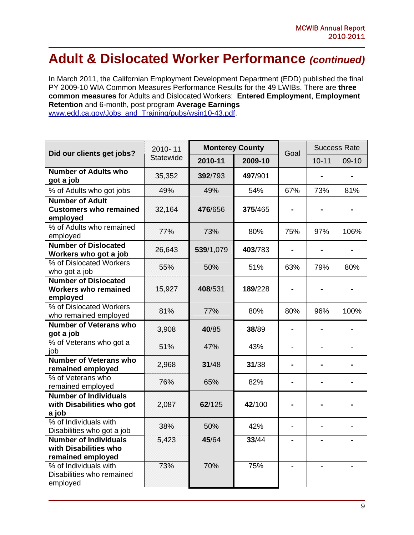### **Adult & Dislocated Worker Performance** *(continued)*

In March 2011, the Californian Employment Development Department (EDD) published the final PY 2009-10 WIA Common Measures Performance Results for the 49 LWIBs. There are **three common measures** for Adults and Dislocated Workers: **Entered Employment**, **Employment Retention** and 6-month, post program **Average Earnings** www.edd.ca.gov/Jobs\_and\_Training/pubs/wsin10-43.pdf.

| Did our clients get jobs?                                                  | 2010-11          | <b>Monterey County</b> |         | Goal                     | <b>Success Rate</b> |       |
|----------------------------------------------------------------------------|------------------|------------------------|---------|--------------------------|---------------------|-------|
|                                                                            | <b>Statewide</b> | 2010-11                | 2009-10 |                          | $10 - 11$           | 09-10 |
| <b>Number of Adults who</b><br>got a job                                   | 35,352           | 392/793                | 497/901 |                          |                     |       |
| % of Adults who got jobs                                                   | 49%              | 49%                    | 54%     | 67%                      | 73%                 | 81%   |
| <b>Number of Adult</b><br><b>Customers who remained</b><br>employed        | 32,164           | 476/656                | 375/465 |                          |                     |       |
| % of Adults who remained<br>employed                                       | 77%              | 73%                    | 80%     | 75%                      | 97%                 | 106%  |
| <b>Number of Dislocated</b><br>Workers who got a job                       | 26,643           | 539/1,079              | 403/783 | $\blacksquare$           | $\blacksquare$      |       |
| % of Dislocated Workers<br>who got a job                                   | 55%              | 50%                    | 51%     | 63%                      | 79%                 | 80%   |
| <b>Number of Dislocated</b><br><b>Workers who remained</b><br>employed     | 15,927           | 408/531                | 189/228 |                          |                     |       |
| % of Dislocated Workers<br>who remained employed                           | 81%              | 77%                    | 80%     | 80%                      | 96%                 | 100%  |
| <b>Number of Veterans who</b><br>got a job                                 | 3,908            | 40/85                  | 38/89   | $\blacksquare$           |                     |       |
| % of Veterans who got a<br>job                                             | 51%              | 47%                    | 43%     | $\overline{\phantom{0}}$ |                     |       |
| <b>Number of Veterans who</b><br>remained employed                         | 2,968            | 31/48                  | 31/38   | $\blacksquare$           |                     |       |
| % of Veterans who<br>remained employed                                     | 76%              | 65%                    | 82%     | $\overline{\phantom{a}}$ |                     |       |
| <b>Number of Individuals</b><br>with Disabilities who got<br>a job         | 2,087            | 62/125                 | 42/100  |                          |                     |       |
| % of Individuals with<br>Disabilities who got a job                        | 38%              | 50%                    | 42%     | $\blacksquare$           |                     |       |
| <b>Number of Individuals</b><br>with Disabilities who<br>remained employed | 5,423            | 45/64                  | 33/44   | $\blacksquare$           |                     |       |
| % of Individuals with<br>Disabilities who remained<br>employed             | 73%              | 70%                    | 75%     |                          |                     |       |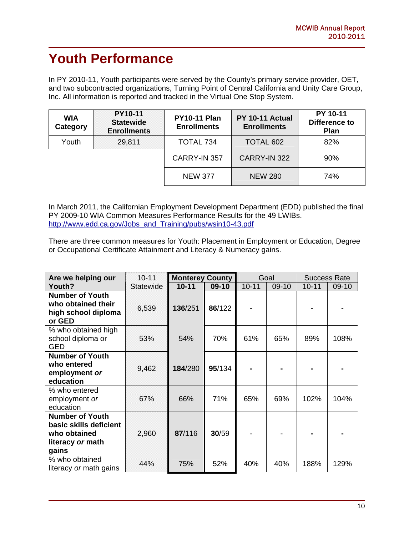# **Youth Performance**

In PY 2010-11, Youth participants were served by the County's primary service provider, OET, and two subcontracted organizations, Turning Point of Central California and Unity Care Group, Inc. All information is reported and tracked in the Virtual One Stop System.

| <b>WIA</b><br>Category | <b>PY10-11</b><br><b>Statewide</b><br><b>Enrollments</b> | <b>PY10-11 Plan</b><br><b>Enrollments</b> | PY 10-11 Actual<br><b>Enrollments</b> | PY 10-11<br>Difference to<br><b>Plan</b> |
|------------------------|----------------------------------------------------------|-------------------------------------------|---------------------------------------|------------------------------------------|
| Youth                  | 29,811                                                   | TOTAL 734                                 | TOTAL 602                             | 82%                                      |
|                        |                                                          | CARRY-IN 357                              | CARRY-IN 322                          | 90%                                      |
|                        |                                                          | <b>NEW 377</b>                            | <b>NEW 280</b>                        | 74%                                      |

In March 2011, the Californian Employment Development Department (EDD) published the final PY 2009-10 WIA Common Measures Performance Results for the 49 LWIBs. http://www.edd.ca.gov/Jobs\_and\_Training/pubs/wsin10-43.pdf

There are three common measures for Youth: Placement in Employment or Education, Degree or Occupational Certificate Attainment and Literacy & Numeracy gains.

| Are we helping our                                                                            | $10 - 11$        | <b>Monterey County</b> |         | Goal      |       | <b>Success Rate</b> |         |
|-----------------------------------------------------------------------------------------------|------------------|------------------------|---------|-----------|-------|---------------------|---------|
| Youth?                                                                                        | <b>Statewide</b> | $10 - 11$              | $09-10$ | $10 - 11$ | 09-10 | $10 - 11$           | $09-10$ |
| <b>Number of Youth</b><br>who obtained their<br>high school diploma<br>or GED                 | 6,539            | 136/251                | 86/122  |           |       |                     |         |
| % who obtained high<br>school diploma or<br><b>GED</b>                                        | 53%              | 54%                    | 70%     | 61%       | 65%   | 89%                 | 108%    |
| <b>Number of Youth</b><br>who entered<br>employment or<br>education                           | 9,462            | 184/280                | 95/134  |           |       |                     |         |
| % who entered<br>employment or<br>education                                                   | 67%              | 66%                    | 71%     | 65%       | 69%   | 102%                | 104%    |
| <b>Number of Youth</b><br>basic skills deficient<br>who obtained<br>literacy or math<br>gains | 2,960            | 87/116                 | 30/59   |           |       |                     |         |
| % who obtained<br>literacy or math gains                                                      | 44%              | 75%                    | 52%     | 40%       | 40%   | 188%                | 129%    |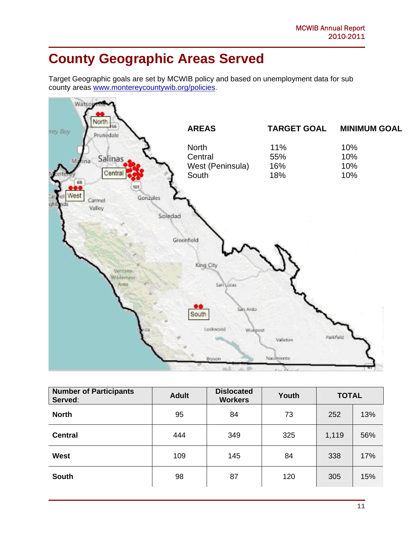# **County Geographic Areas Served**

Target Geographic goals are set by MCWIB policy and based on unemployment data for sub county areas www.montereycountywib.org/policies.



| <b>Number of Participants</b><br>Served: | <b>Adult</b> | <b>Dislocated</b><br><b>Workers</b> | Youth | <b>TOTAL</b> |     |
|------------------------------------------|--------------|-------------------------------------|-------|--------------|-----|
| <b>North</b>                             | 95           | 84                                  | 73    | 252          | 13% |
| <b>Central</b>                           | 444          | 349                                 | 325   | 1,119        | 56% |
| <b>West</b>                              | 109          | 145                                 | 84    | 338          | 17% |
| <b>South</b>                             | 98           | 87                                  | 120   | 305          | 15% |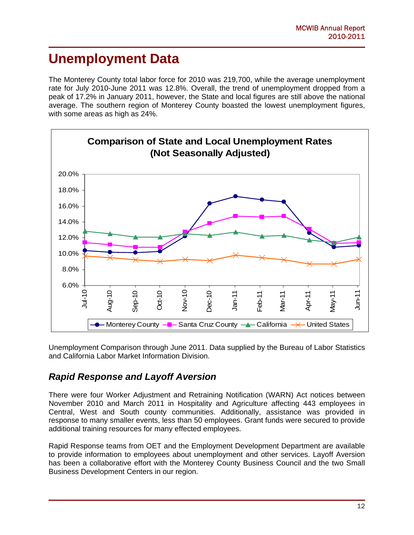### **Unemployment Data**

The Monterey County total labor force for 2010 was 219,700, while the average unemployment rate for July 2010-June 2011 was 12.8%. Overall, the trend of unemployment dropped from a peak of 17.2% in January 2011, however, the State and local figures are still above the national average. The southern region of Monterey County boasted the lowest unemployment figures, with some areas as high as 24%.



Unemployment Comparison through June 2011. Data supplied by the Bureau of Labor Statistics and California Labor Market Information Division.

### *Rapid Response and Layoff Aversion*

There were four Worker Adjustment and Retraining Notification (WARN) Act notices between November 2010 and March 2011 in Hospitality and Agriculture affecting 443 employees in Central, West and South county communities. Additionally, assistance was provided in response to many smaller events, less than 50 employees. Grant funds were secured to provide additional training resources for many effected employees.

Rapid Response teams from OET and the Employment Development Department are available to provide information to employees about unemployment and other services. Layoff Aversion has been a collaborative effort with the Monterey County Business Council and the two Small Business Development Centers in our region.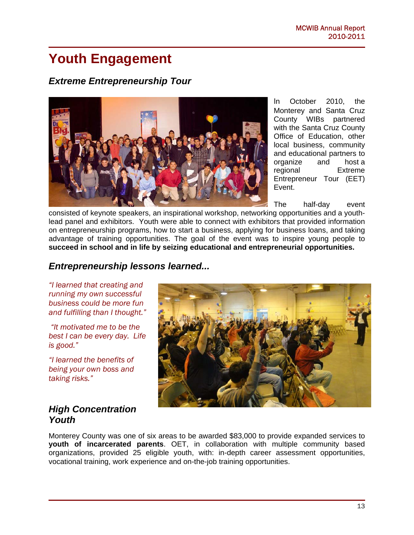### **Youth Engagement**

#### *Extreme Entrepreneurship Tour*



In October 2010, the Monterey and Santa Cruz County WIBs partnered with the Santa Cruz County Office of Education, other local business, community and educational partners to organize and host a regional Extreme Entrepreneur Tour (EET) Event.

The half-day event

consisted of keynote speakers, an inspirational workshop, networking opportunities and a youthlead panel and exhibitors. Youth were able to connect with exhibitors that provided information on entrepreneurship programs, how to start a business, applying for business loans, and taking advantage of training opportunities. The goal of the event was to inspire young people to **succeed in school and in life by seizing educational and entrepreneurial opportunities.** 

#### *Entrepreneurship lessons learned...*

*"I learned that creating and running my own successful business could be more fun and fulfilling than I thought."* 

 *"It motivated me to be the best I can be every day. Life is good."* 

*"I learned the benefits of being your own boss and taking risks."* 

#### *High Concentration Youth*



Monterey County was one of six areas to be awarded \$83,000 to provide expanded services to **youth of incarcerated parents**. OET, in collaboration with multiple community based organizations, provided 25 eligible youth, with: in-depth career assessment opportunities, vocational training, work experience and on-the-job training opportunities.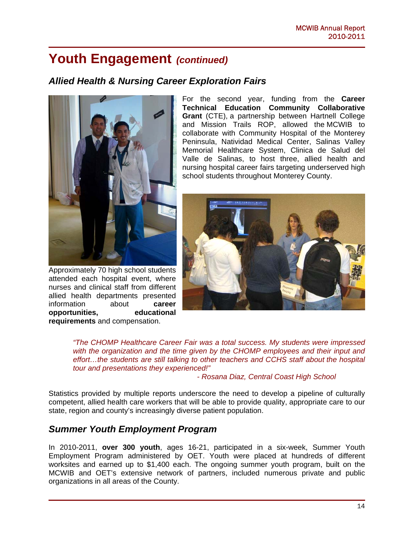### **Youth Engagement** *(continued)*

#### *Allied Health & Nursing Career Exploration Fairs*



Approximately 70 high school students attended each hospital event, where nurses and clinical staff from different allied health departments presented information about **career opportunities, educational requirements** and compensation.

For the second year, funding from the **Career Technical Education Community Collaborative Grant** (CTE), a partnership between Hartnell College and Mission Trails ROP, allowed the MCWIB to collaborate with Community Hospital of the Monterey Peninsula, Natividad Medical Center, Salinas Valley Memorial Healthcare System, Clinica de Salud del Valle de Salinas, to host three, allied health and nursing hospital career fairs targeting underserved high school students throughout Monterey County.



*"The CHOMP Healthcare Career Fair was a total success. My students were impressed*  with the organization and the time given by the CHOMP employees and their input and *effort…the students are still talking to other teachers and CCHS staff about the hospital tour and presentations they experienced!"* 

 *- Rosana Diaz, Central Coast High School* 

Statistics provided by multiple reports underscore the need to develop a pipeline of culturally competent, allied health care workers that will be able to provide quality, appropriate care to our state, region and county's increasingly diverse patient population.

#### *Summer Youth Employment Program*

In 2010-2011, **over 300 youth**, ages 16-21, participated in a six-week, Summer Youth Employment Program administered by OET. Youth were placed at hundreds of different worksites and earned up to \$1,400 each. The ongoing summer youth program, built on the MCWIB and OET's extensive network of partners, included numerous private and public organizations in all areas of the County.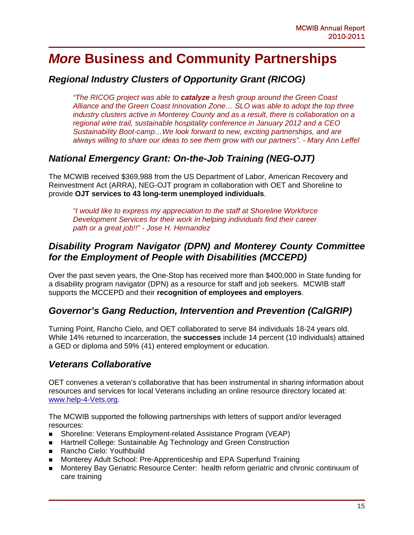### *More* **Business and Community Partnerships**

#### *Regional Industry Clusters of Opportunity Grant (RICOG)*

*"The RICOG project was able to catalyze a fresh group around the Green Coast Alliance and the Green Coast Innovation Zone… SLO was able to adopt the top three industry clusters active in Monterey County and as a result, there is collaboration on a regional wine trail, sustainable hospitality conference in January 2012 and a CEO Sustainability Boot-camp…We look forward to new, exciting partnerships, and are always willing to share our ideas to see them grow with our partners". - Mary Ann Leffel* 

#### *National Emergency Grant: On-the-Job Training (NEG-OJT)*

The MCWIB received \$369,988 from the US Department of Labor, American Recovery and Reinvestment Act (ARRA), NEG-OJT program in collaboration with OET and Shoreline to provide **OJT services to 43 long-term unemployed individuals**.

*"I would like to express my appreciation to the staff at Shoreline Workforce Development Services for their work in helping individuals find their career path or a great job!!" - Jose H. Hernandez* 

#### *Disability Program Navigator (DPN) and Monterey County Committee for the Employment of People with Disabilities (MCCEPD)*

Over the past seven years, the One-Stop has received more than \$400,000 in State funding for a disability program navigator (DPN) as a resource for staff and job seekers. MCWIB staff supports the MCCEPD and their **recognition of employees and employers**.

#### *Governor's Gang Reduction, Intervention and Prevention (CalGRIP)*

Turning Point, Rancho Cielo, and OET collaborated to serve 84 individuals 18-24 years old. While 14% returned to incarceration, the **successes** include 14 percent (10 individuals) attained a GED or diploma and 59% (41) entered employment or education.

#### *Veterans Collaborative*

OET convenes a veteran's collaborative that has been instrumental in sharing information about resources and services for local Veterans including an online resource directory located at: www.help-4-Vets.org.

The MCWIB supported the following partnerships with letters of support and/or leveraged resources:

- Shoreline: Veterans Employment-related Assistance Program (VEAP)
- **Hartnell College: Sustainable Ag Technology and Green Construction**
- Rancho Cielo: Youthbuild
- Monterey Adult School: Pre-Apprenticeship and EPA Superfund Training
- Monterey Bay Geriatric Resource Center: health reform geriatric and chronic continuum of care training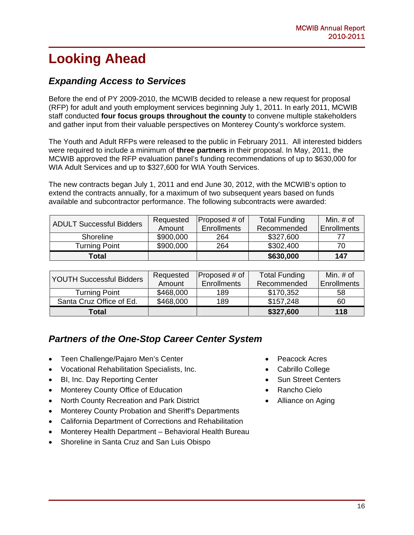# **Looking Ahead**

#### *Expanding Access to Services*

Before the end of PY 2009-2010, the MCWIB decided to release a new request for proposal (RFP) for adult and youth employment services beginning July 1, 2011. In early 2011, MCWIB staff conducted **four focus groups throughout the county** to convene multiple stakeholders and gather input from their valuable perspectives on Monterey County's workforce system.

The Youth and Adult RFPs were released to the public in February 2011. All interested bidders were required to include a minimum of **three partners** in their proposal. In May, 2011, the MCWIB approved the RFP evaluation panel's funding recommendations of up to \$630,000 for WIA Adult Services and up to \$327,600 for WIA Youth Services.

The new contracts began July 1, 2011 and end June 30, 2012, with the MCWIB's option to extend the contracts annually, for a maximum of two subsequent years based on funds available and subcontractor performance. The following subcontracts were awarded:

| <b>ADULT Successful Bidders</b> | Requested | <b>Proposed # of</b> | <b>Total Funding</b> | Min. # of          |
|---------------------------------|-----------|----------------------|----------------------|--------------------|
|                                 | Amount    | <b>Enrollments</b>   | Recommended          | <b>Enrollments</b> |
| <b>Shoreline</b>                | \$900,000 | 264                  | \$327,600            |                    |
| <b>Turning Point</b>            | \$900,000 | 264                  | \$302,400            | 70                 |
| Total                           |           |                      | \$630,000            | 147                |

| <b>YOUTH Successful Bidders</b> | Requested | Proposed # of      | <b>Total Funding</b> | Min. $#$ of        |
|---------------------------------|-----------|--------------------|----------------------|--------------------|
|                                 | Amount    | <b>Enrollments</b> | Recommended          | <b>Enrollments</b> |
| <b>Turning Point</b>            | \$468,000 | 189                | \$170,352            | 58                 |
| Santa Cruz Office of Ed.        | \$468,000 | 189                | \$157,248            | 60                 |
| Total                           |           |                    | \$327,600            | 118                |

### *Partners of the One-Stop Career Center System*

- Teen Challenge/Pajaro Men's Center
- Vocational Rehabilitation Specialists, Inc.
- BI, Inc. Day Reporting Center
- Monterey County Office of Education
- North County Recreation and Park District
- Monterey County Probation and Sheriff's Departments
- California Department of Corrections and Rehabilitation
- Monterey Health Department Behavioral Health Bureau
- Shoreline in Santa Cruz and San Luis Obispo
- Peacock Acres
- Cabrillo College
- Sun Street Centers
- Rancho Cielo
- Alliance on Aging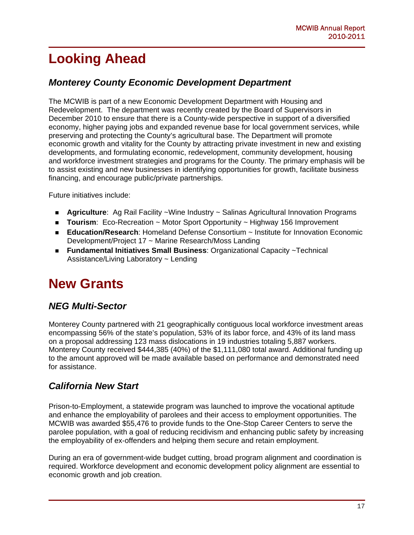# **Looking Ahead**

#### *Monterey County Economic Development Department*

The MCWIB is part of a new Economic Development Department with Housing and Redevelopment. The department was recently created by the Board of Supervisors in December 2010 to ensure that there is a County-wide perspective in support of a diversified economy, higher paying jobs and expanded revenue base for local government services, while preserving and protecting the County's agricultural base. The Department will promote economic growth and vitality for the County by attracting private investment in new and existing developments, and formulating economic, redevelopment, community development, housing and workforce investment strategies and programs for the County. The primary emphasis will be to assist existing and new businesses in identifying opportunities for growth, facilitate business financing, and encourage public/private partnerships.

Future initiatives include:

- **Agriculture**: Ag Rail Facility ~Wine Industry ~ Salinas Agricultural Innovation Programs
- **Tourism**: Eco-Recreation ~ Motor Sport Opportunity ~ Highway 156 Improvement
- **Education/Research**: Homeland Defense Consortium ~ Institute for Innovation Economic Development/Project 17 ~ Marine Research/Moss Landing
- **Fundamental Initiatives Small Business**: Organizational Capacity ~Technical Assistance/Living Laboratory ~ Lending

### **New Grants**

### *NEG Multi-Sector*

Monterey County partnered with 21 geographically contiguous local workforce investment areas encompassing 56% of the state's population, 53% of its labor force, and 43% of its land mass on a proposal addressing 123 mass dislocations in 19 industries totaling 5,887 workers. Monterey County received \$444,385 (40%) of the \$1,111,080 total award. Additional funding up to the amount approved will be made available based on performance and demonstrated need for assistance.

#### *California New Start*

Prison-to-Employment, a statewide program was launched to improve the vocational aptitude and enhance the employability of parolees and their access to employment opportunities. The MCWIB was awarded \$55,476 to provide funds to the One-Stop Career Centers to serve the parolee population, with a goal of reducing recidivism and enhancing public safety by increasing the employability of ex-offenders and helping them secure and retain employment.

During an era of government-wide budget cutting, broad program alignment and coordination is required. Workforce development and economic development policy alignment are essential to economic growth and job creation.